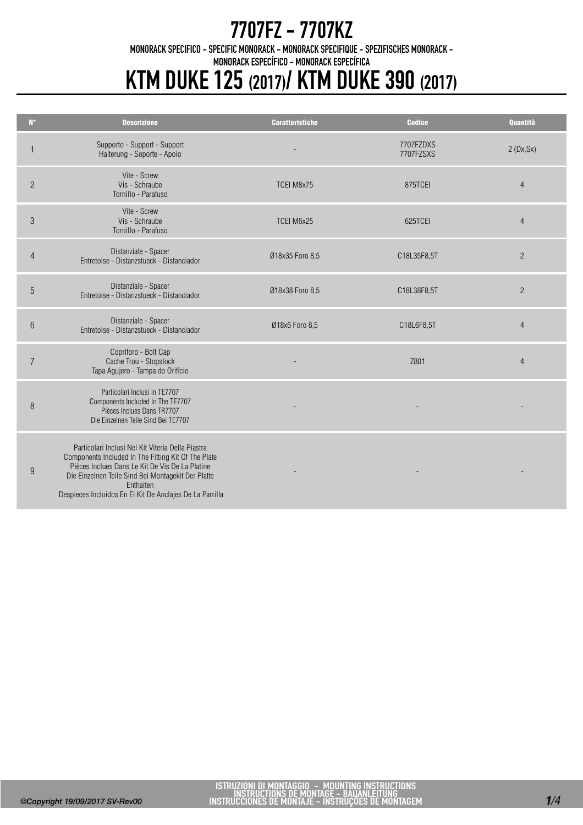MONORACK SPECIFICO - SPECIFIC MONORACK - MONORACK SPECIFIQUE - SPEZIFISCHES MONORACK -

MONORACK ESPECÍFICO - MONORACK ESPECÍFICA

# KTM DUKE 125 (2017)/ KTM DUKE 390 (2017)

| $N^{\circ}$     | <b>Descrizione</b>                                                                                                                                                                                                                                                                         | <b>Caratteristiche</b> | <b>Codice</b>          | <b>Quantità</b> |
|-----------------|--------------------------------------------------------------------------------------------------------------------------------------------------------------------------------------------------------------------------------------------------------------------------------------------|------------------------|------------------------|-----------------|
|                 | Supporto - Support - Support<br>Halterung - Soporte - Apoio                                                                                                                                                                                                                                |                        | 7707FZDXS<br>7707FZSXS | 2(Dx, Sx)       |
| $\overline{2}$  | Vite - Screw<br>Vis - Schraube<br>Tornillo - Parafuso                                                                                                                                                                                                                                      | TCEI M8x75             | 875TCEI                | $\overline{4}$  |
| $\mathfrak{Z}$  | Vite - Screw<br>Vis - Schraube<br>Tornillo - Parafuso                                                                                                                                                                                                                                      | TCEI M6x25             | 625TCEI                | $\overline{4}$  |
| $\overline{4}$  | Distanziale - Spacer<br>Entretoise - Distanzstueck - Distanciador                                                                                                                                                                                                                          | Ø18x35 Foro 8,5        | C18L35F8,5T            | $\overline{2}$  |
| 5               | Distanziale - Spacer<br>Entretoise - Distanzstueck - Distanciador                                                                                                                                                                                                                          | Ø18x38 Foro 8,5        | C18L38F8,5T            | $\overline{2}$  |
| $6\phantom{1}6$ | Distanziale - Spacer<br>Entretoise - Distanzstueck - Distanciador                                                                                                                                                                                                                          | Ø18x6 Foro 8,5         | C18L6F8,5T             | $\overline{4}$  |
| $\overline{7}$  | Copriforo - Bolt Cap<br>Cache Trou - Stopslock<br>Tapa Agujero - Tampa do Orifício                                                                                                                                                                                                         |                        | Z801                   | $\overline{4}$  |
| 8               | Particolari Inclusi in TE7707<br>Components Included In The TE7707<br>Pièces Inclues Dans TR7707<br>Die Einzelnen Teile Sind Bei TE7707                                                                                                                                                    |                        |                        |                 |
| 9               | Particolari Inclusi Nel Kit Viteria Della Piastra<br>Components Included In The Fitting Kit Of The Plate<br>Pièces Inclues Dans Le Kit De Vis De La Platine<br>Die Einzelnen Teile Sind Bei Montagekit Der Platte<br>Enthalten<br>Despieces Incluidos En El Kit De Anclajes De La Parrilla |                        |                        |                 |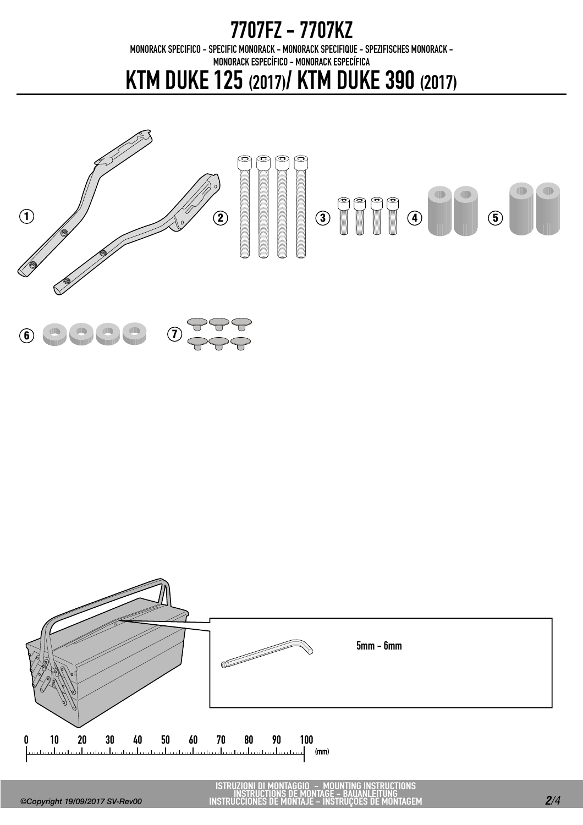MONORACK SPECIFICO - SPECIFIC MONORACK - MONORACK SPECIFIQUE - SPEZIFISCHES MONORACK -

MONORACK ESPECÍFICO - MONORACK ESPECÍFICA

KTM DUKE 125 (2017)/ KTM DUKE 390 (2017)





ISTRUZIONI DI MONTAGGIO - MOUNTING INSTRUCTIONS INSTRUCTIONS DE MONTAGE - BAUANLEITUNG INSTRUCCIONES DE MONTAJE - INSTRUÇÕES DE MONTAGEM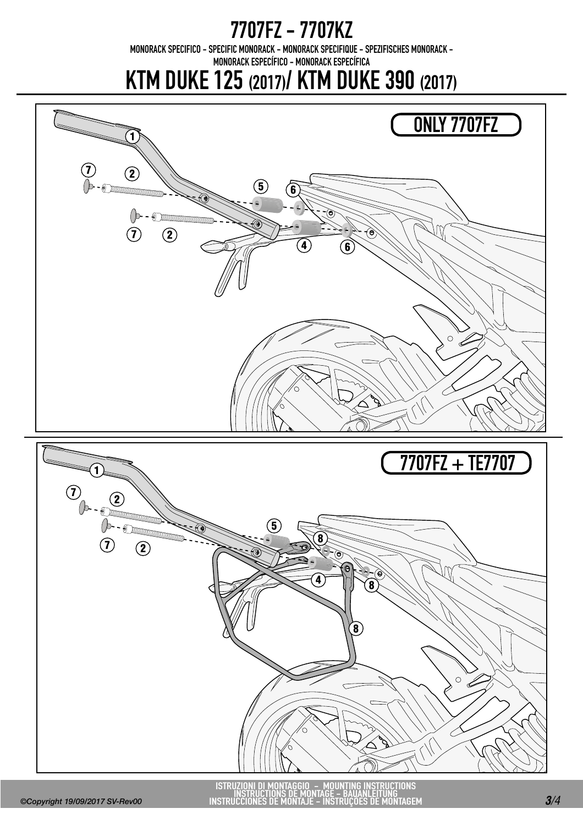MONORACK SPECIFICO - SPECIFIC MONORACK - MONORACK SPECIFIQUE - SPEZIFISCHES MONORACK -

MONORACK ESPECÍFICO - MONORACK ESPECÍFICA

KTM DUKE 125 (2017)/ KTM DUKE 390 (2017)